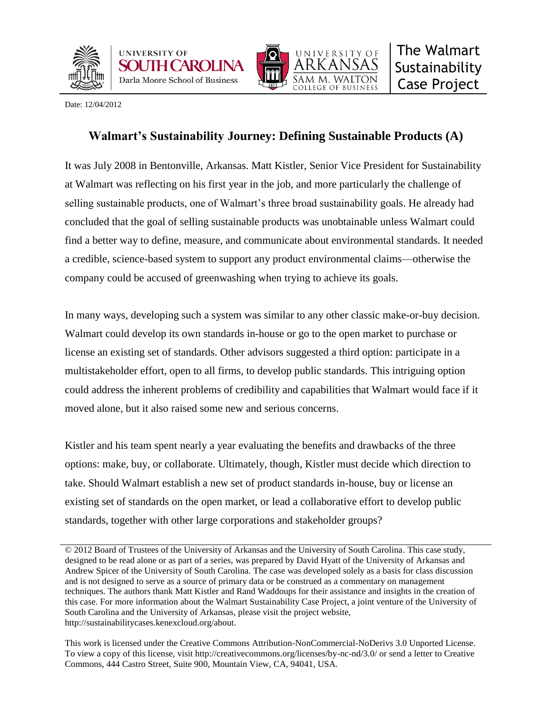





Date: 12/04/2012

# **Walmart's Sustainability Journey: Defining Sustainable Products (A)**

It was July 2008 in Bentonville, Arkansas. Matt Kistler, Senior Vice President for Sustainability at Walmart was reflecting on his first year in the job, and more particularly the challenge of selling sustainable products, one of Walmart's three broad sustainability goals. He already had concluded that the goal of selling sustainable products was unobtainable unless Walmart could find a better way to define, measure, and communicate about environmental standards. It needed a credible, science-based system to support any product environmental claims—otherwise the company could be accused of greenwashing when trying to achieve its goals.

In many ways, developing such a system was similar to any other classic make-or-buy decision. Walmart could develop its own standards in-house or go to the open market to purchase or license an existing set of standards. Other advisors suggested a third option: participate in a multistakeholder effort, open to all firms, to develop public standards. This intriguing option could address the inherent problems of credibility and capabilities that Walmart would face if it moved alone, but it also raised some new and serious concerns.

Kistler and his team spent nearly a year evaluating the benefits and drawbacks of the three options: make, buy, or collaborate. Ultimately, though, Kistler must decide which direction to take. Should Walmart establish a new set of product standards in-house, buy or license an existing set of standards on the open market, or lead a collaborative effort to develop public standards, together with other large corporations and stakeholder groups?

<sup>© 2012</sup> Board of Trustees of the University of Arkansas and the University of South Carolina. This case study, designed to be read alone or as part of a series, was prepared by David Hyatt of the University of Arkansas and Andrew Spicer of the University of South Carolina. The case was developed solely as a basis for class discussion and is not designed to serve as a source of primary data or be construed as a commentary on management techniques. The authors thank Matt Kistler and Rand Waddoups for their assistance and insights in the creation of this case. For more information about the Walmart Sustainability Case Project, a joint venture of the University of South Carolina and the University of Arkansas, please visit the project website, http://sustainabilitycases.kenexcloud.org/about.

This work is licensed under the Creative Commons Attribution-NonCommercial-NoDerivs 3.0 Unported License. To view a copy of this license, visit http://creativecommons.org/licenses/by-nc-nd/3.0/ or send a letter to Creative Commons, 444 Castro Street, Suite 900, Mountain View, CA, 94041, USA.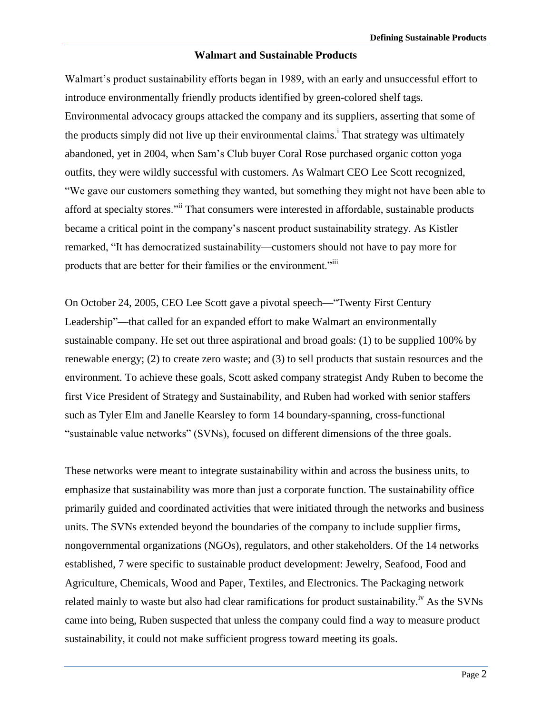#### **Walmart and Sustainable Products**

Walmart's product sustainability efforts began in 1989, with an early and unsuccessful effort to introduce environmentally friendly products identified by green-colored shelf tags. Environmental advocacy groups attacked the company and its suppliers, asserting that some of the products simply did not live up their environmental claims.<sup>i</sup> That strategy was ultimately abandoned, yet in 2004, when Sam's Club buyer Coral Rose purchased organic cotton yoga outfits, they were wildly successful with customers. As Walmart CEO Lee Scott recognized, "We gave our customers something they wanted, but something they might not have been able to afford at specialty stores."<sup>ii</sup> That consumers were interested in affordable, sustainable products became a critical point in the company's nascent product sustainability strategy. As Kistler remarked, "It has democratized sustainability—customers should not have to pay more for products that are better for their families or the environment."iii

On October 24, 2005, CEO Lee Scott gave a pivotal speech—"Twenty First Century Leadership"—that called for an expanded effort to make Walmart an environmentally sustainable company. He set out three aspirational and broad goals: (1) to be supplied 100% by renewable energy; (2) to create zero waste; and (3) to sell products that sustain resources and the environment. To achieve these goals, Scott asked company strategist Andy Ruben to become the first Vice President of Strategy and Sustainability, and Ruben had worked with senior staffers such as Tyler Elm and Janelle Kearsley to form 14 boundary-spanning, cross-functional "sustainable value networks" (SVNs), focused on different dimensions of the three goals.

These networks were meant to integrate sustainability within and across the business units, to emphasize that sustainability was more than just a corporate function. The sustainability office primarily guided and coordinated activities that were initiated through the networks and business units. The SVNs extended beyond the boundaries of the company to include supplier firms, nongovernmental organizations (NGOs), regulators, and other stakeholders. Of the 14 networks established, 7 were specific to sustainable product development: Jewelry, Seafood, Food and Agriculture, Chemicals, Wood and Paper, Textiles, and Electronics. The Packaging network related mainly to waste but also had clear ramifications for product sustainability.<sup>iv</sup> As the SVNs came into being, Ruben suspected that unless the company could find a way to measure product sustainability, it could not make sufficient progress toward meeting its goals.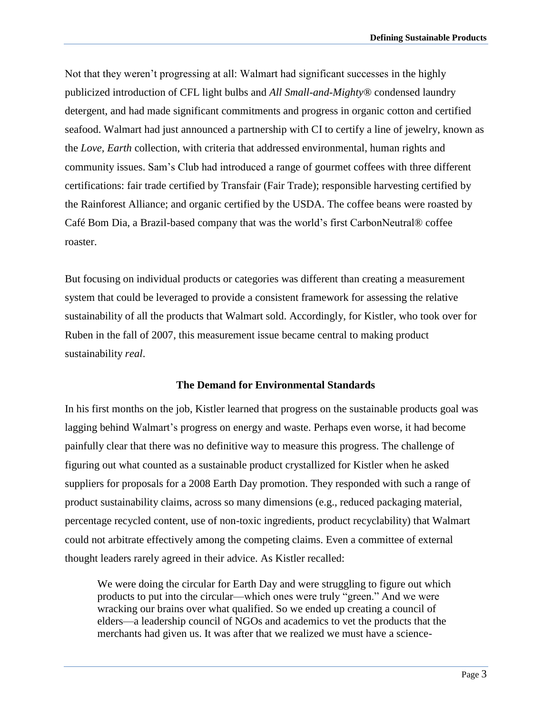Not that they weren't progressing at all: Walmart had significant successes in the highly publicized introduction of CFL light bulbs and *All Small-and-Mighty*® condensed laundry detergent, and had made significant commitments and progress in organic cotton and certified seafood. Walmart had just announced a partnership with CI to certify a line of jewelry, known as the *Love, Earth* collection, with criteria that addressed environmental, human rights and community issues. Sam's Club had introduced a range of gourmet coffees with three different certifications: fair trade certified by Transfair (Fair Trade); responsible harvesting certified by the Rainforest Alliance; and organic certified by the USDA. The coffee beans were roasted by Café Bom Dia, a Brazil-based company that was the world's first CarbonNeutral® coffee roaster.

But focusing on individual products or categories was different than creating a measurement system that could be leveraged to provide a consistent framework for assessing the relative sustainability of all the products that Walmart sold. Accordingly, for Kistler, who took over for Ruben in the fall of 2007, this measurement issue became central to making product sustainability *real*.

#### **The Demand for Environmental Standards**

In his first months on the job, Kistler learned that progress on the sustainable products goal was lagging behind Walmart's progress on energy and waste. Perhaps even worse, it had become painfully clear that there was no definitive way to measure this progress. The challenge of figuring out what counted as a sustainable product crystallized for Kistler when he asked suppliers for proposals for a 2008 Earth Day promotion. They responded with such a range of product sustainability claims, across so many dimensions (e.g., reduced packaging material, percentage recycled content, use of non-toxic ingredients, product recyclability) that Walmart could not arbitrate effectively among the competing claims. Even a committee of external thought leaders rarely agreed in their advice. As Kistler recalled:

We were doing the circular for Earth Day and were struggling to figure out which products to put into the circular—which ones were truly "green." And we were wracking our brains over what qualified. So we ended up creating a council of elders—a leadership council of NGOs and academics to vet the products that the merchants had given us. It was after that we realized we must have a science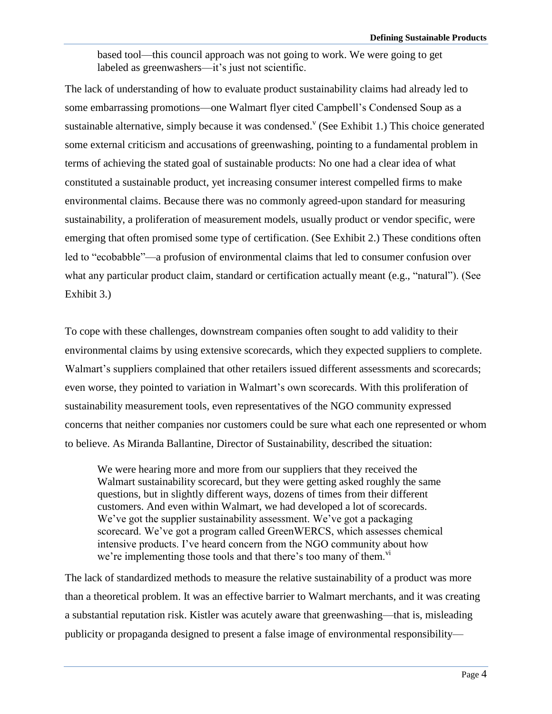based tool—this council approach was not going to work. We were going to get labeled as greenwashers—it's just not scientific.

The lack of understanding of how to evaluate product sustainability claims had already led to some embarrassing promotions—one Walmart flyer cited Campbell's Condensed Soup as a sustainable alternative, simply because it was condensed.  $V$  (See Exhibit 1.) This choice generated some external criticism and accusations of greenwashing, pointing to a fundamental problem in terms of achieving the stated goal of sustainable products: No one had a clear idea of what constituted a sustainable product, yet increasing consumer interest compelled firms to make environmental claims. Because there was no commonly agreed-upon standard for measuring sustainability, a proliferation of measurement models, usually product or vendor specific, were emerging that often promised some type of certification. (See Exhibit 2.) These conditions often led to "ecobabble"—a profusion of environmental claims that led to consumer confusion over what any particular product claim, standard or certification actually meant (e.g., "natural"). (See Exhibit 3.)

To cope with these challenges, downstream companies often sought to add validity to their environmental claims by using extensive scorecards, which they expected suppliers to complete. Walmart's suppliers complained that other retailers issued different assessments and scorecards; even worse, they pointed to variation in Walmart's own scorecards. With this proliferation of sustainability measurement tools, even representatives of the NGO community expressed concerns that neither companies nor customers could be sure what each one represented or whom to believe. As Miranda Ballantine, Director of Sustainability, described the situation:

We were hearing more and more from our suppliers that they received the Walmart sustainability scorecard, but they were getting asked roughly the same questions, but in slightly different ways, dozens of times from their different customers. And even within Walmart, we had developed a lot of scorecards. We've got the supplier sustainability assessment. We've got a packaging scorecard. We've got a program called GreenWERCS, which assesses chemical intensive products. I've heard concern from the NGO community about how we're implementing those tools and that there's too many of them.  $\overline{v}$ 

The lack of standardized methods to measure the relative sustainability of a product was more than a theoretical problem. It was an effective barrier to Walmart merchants, and it was creating a substantial reputation risk. Kistler was acutely aware that greenwashing—that is, misleading publicity or propaganda designed to present a false image of environmental responsibility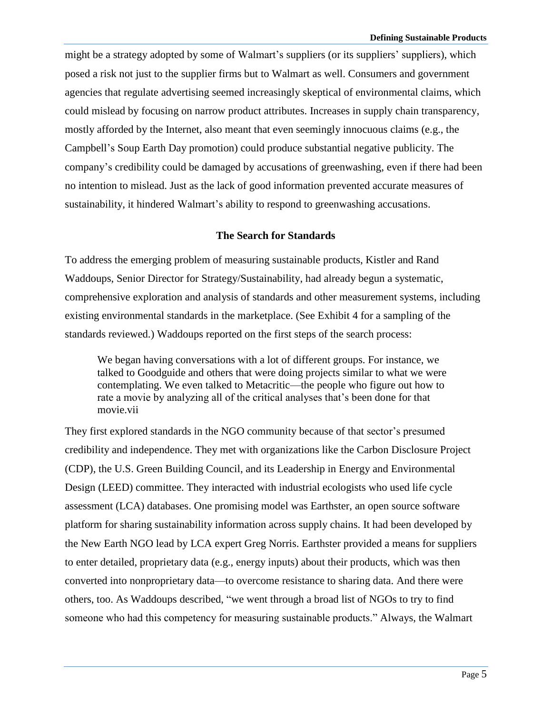might be a strategy adopted by some of Walmart's suppliers (or its suppliers' suppliers), which posed a risk not just to the supplier firms but to Walmart as well. Consumers and government agencies that regulate advertising seemed increasingly skeptical of environmental claims, which could mislead by focusing on narrow product attributes. Increases in supply chain transparency, mostly afforded by the Internet, also meant that even seemingly innocuous claims (e.g., the Campbell's Soup Earth Day promotion) could produce substantial negative publicity. The company's credibility could be damaged by accusations of greenwashing, even if there had been no intention to mislead. Just as the lack of good information prevented accurate measures of sustainability, it hindered Walmart's ability to respond to greenwashing accusations.

#### **The Search for Standards**

To address the emerging problem of measuring sustainable products, Kistler and Rand Waddoups, Senior Director for Strategy/Sustainability, had already begun a systematic, comprehensive exploration and analysis of standards and other measurement systems, including existing environmental standards in the marketplace. (See Exhibit 4 for a sampling of the standards reviewed.) Waddoups reported on the first steps of the search process:

We began having conversations with a lot of different groups. For instance, we talked to Goodguide and others that were doing projects similar to what we were contemplating. We even talked to Metacritic—the people who figure out how to rate a movie by analyzing all of the critical analyses that's been done for that movie.vii

They first explored standards in the NGO community because of that sector's presumed credibility and independence. They met with organizations like the Carbon Disclosure Project (CDP), the U.S. Green Building Council, and its Leadership in Energy and Environmental Design (LEED) committee. They interacted with industrial ecologists who used life cycle assessment (LCA) databases. One promising model was Earthster, an open source software platform for sharing sustainability information across supply chains. It had been developed by the New Earth NGO lead by LCA expert Greg Norris. Earthster provided a means for suppliers to enter detailed, proprietary data (e.g., energy inputs) about their products, which was then converted into nonproprietary data—to overcome resistance to sharing data. And there were others, too. As Waddoups described, "we went through a broad list of NGOs to try to find someone who had this competency for measuring sustainable products." Always, the Walmart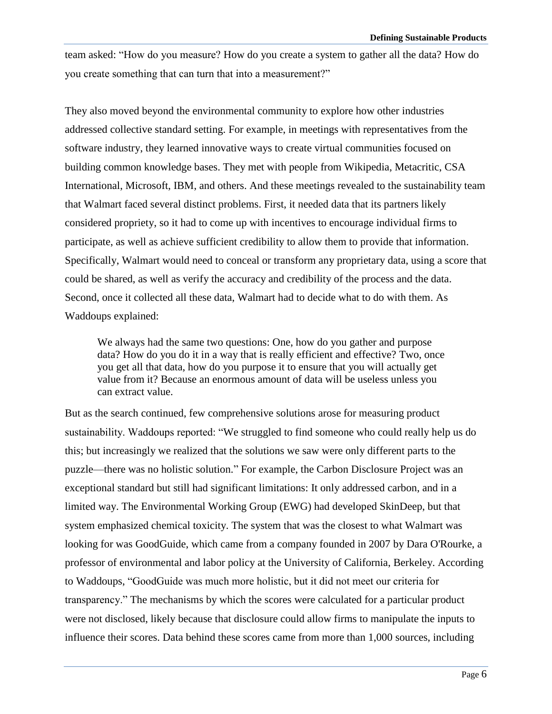team asked: "How do you measure? How do you create a system to gather all the data? How do you create something that can turn that into a measurement?"

They also moved beyond the environmental community to explore how other industries addressed collective standard setting. For example, in meetings with representatives from the software industry, they learned innovative ways to create virtual communities focused on building common knowledge bases. They met with people from Wikipedia, Metacritic, CSA International, Microsoft, IBM, and others. And these meetings revealed to the sustainability team that Walmart faced several distinct problems. First, it needed data that its partners likely considered propriety, so it had to come up with incentives to encourage individual firms to participate, as well as achieve sufficient credibility to allow them to provide that information. Specifically, Walmart would need to conceal or transform any proprietary data, using a score that could be shared, as well as verify the accuracy and credibility of the process and the data. Second, once it collected all these data, Walmart had to decide what to do with them. As Waddoups explained:

We always had the same two questions: One, how do you gather and purpose data? How do you do it in a way that is really efficient and effective? Two, once you get all that data, how do you purpose it to ensure that you will actually get value from it? Because an enormous amount of data will be useless unless you can extract value.

But as the search continued, few comprehensive solutions arose for measuring product sustainability. Waddoups reported: "We struggled to find someone who could really help us do this; but increasingly we realized that the solutions we saw were only different parts to the puzzle—there was no holistic solution." For example, the Carbon Disclosure Project was an exceptional standard but still had significant limitations: It only addressed carbon, and in a limited way. The Environmental Working Group (EWG) had developed SkinDeep, but that system emphasized chemical toxicity. The system that was the closest to what Walmart was looking for was GoodGuide, which came from a company founded in 2007 by Dara O'Rourke, a professor of environmental and labor policy at the University of California, Berkeley. According to Waddoups, "GoodGuide was much more holistic, but it did not meet our criteria for transparency." The mechanisms by which the scores were calculated for a particular product were not disclosed, likely because that disclosure could allow firms to manipulate the inputs to influence their scores. Data behind these scores came from more than 1,000 sources, including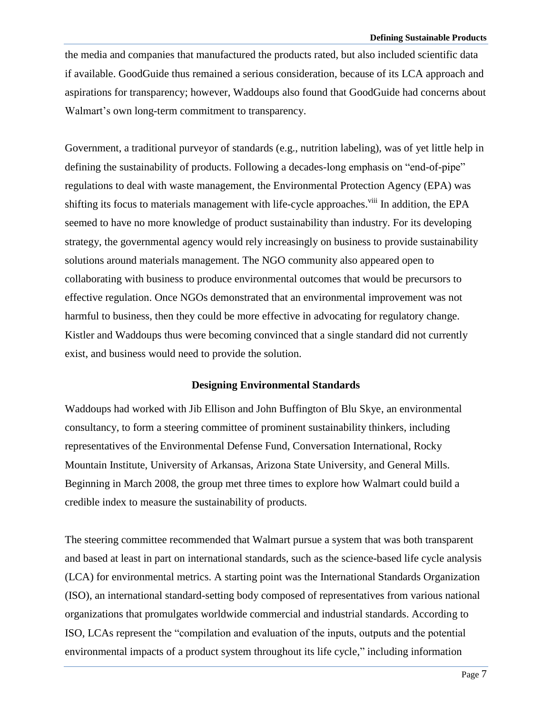the media and companies that manufactured the products rated, but also included scientific data if available. GoodGuide thus remained a serious consideration, because of its LCA approach and aspirations for transparency; however, Waddoups also found that GoodGuide had concerns about Walmart's own long-term commitment to transparency.

Government, a traditional purveyor of standards (e.g., nutrition labeling), was of yet little help in defining the sustainability of products. Following a decades-long emphasis on "end-of-pipe" regulations to deal with waste management, the Environmental Protection Agency (EPA) was shifting its focus to materials management with life-cycle approaches.<sup>viii</sup> In addition, the EPA seemed to have no more knowledge of product sustainability than industry. For its developing strategy, the governmental agency would rely increasingly on business to provide sustainability solutions around materials management. The NGO community also appeared open to collaborating with business to produce environmental outcomes that would be precursors to effective regulation. Once NGOs demonstrated that an environmental improvement was not harmful to business, then they could be more effective in advocating for regulatory change. Kistler and Waddoups thus were becoming convinced that a single standard did not currently exist, and business would need to provide the solution.

#### **Designing Environmental Standards**

Waddoups had worked with Jib Ellison and John Buffington of Blu Skye, an environmental consultancy, to form a steering committee of prominent sustainability thinkers, including representatives of the Environmental Defense Fund, Conversation International, Rocky Mountain Institute, University of Arkansas, Arizona State University, and General Mills. Beginning in March 2008, the group met three times to explore how Walmart could build a credible index to measure the sustainability of products.

The steering committee recommended that Walmart pursue a system that was both transparent and based at least in part on international standards, such as the science-based life cycle analysis (LCA) for environmental metrics. A starting point was the International Standards Organization (ISO), an international standard-setting body composed of representatives from various national organizations that promulgates worldwide commercial and industrial standards. According to ISO, LCAs represent the "compilation and evaluation of the inputs, outputs and the potential environmental impacts of a product system throughout its life cycle," including information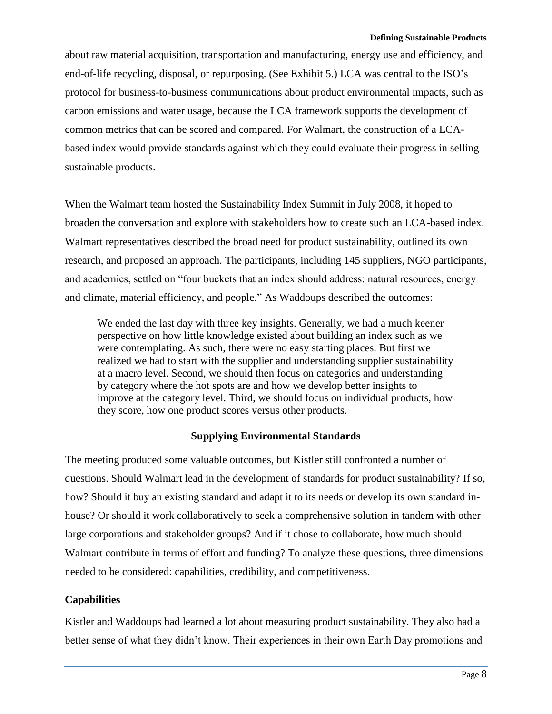about raw material acquisition, transportation and manufacturing, energy use and efficiency, and end-of-life recycling, disposal, or repurposing. (See Exhibit 5.) LCA was central to the ISO's protocol for business-to-business communications about product environmental impacts, such as carbon emissions and water usage, because the LCA framework supports the development of common metrics that can be scored and compared. For Walmart, the construction of a LCAbased index would provide standards against which they could evaluate their progress in selling sustainable products.

When the Walmart team hosted the Sustainability Index Summit in July 2008, it hoped to broaden the conversation and explore with stakeholders how to create such an LCA-based index. Walmart representatives described the broad need for product sustainability, outlined its own research, and proposed an approach. The participants, including 145 suppliers, NGO participants, and academics, settled on "four buckets that an index should address: natural resources, energy and climate, material efficiency, and people." As Waddoups described the outcomes:

We ended the last day with three key insights. Generally, we had a much keener perspective on how little knowledge existed about building an index such as we were contemplating. As such, there were no easy starting places. But first we realized we had to start with the supplier and understanding supplier sustainability at a macro level. Second, we should then focus on categories and understanding by category where the hot spots are and how we develop better insights to improve at the category level. Third, we should focus on individual products, how they score, how one product scores versus other products.

### **Supplying Environmental Standards**

The meeting produced some valuable outcomes, but Kistler still confronted a number of questions. Should Walmart lead in the development of standards for product sustainability? If so, how? Should it buy an existing standard and adapt it to its needs or develop its own standard inhouse? Or should it work collaboratively to seek a comprehensive solution in tandem with other large corporations and stakeholder groups? And if it chose to collaborate, how much should Walmart contribute in terms of effort and funding? To analyze these questions, three dimensions needed to be considered: capabilities, credibility, and competitiveness.

### **Capabilities**

Kistler and Waddoups had learned a lot about measuring product sustainability. They also had a better sense of what they didn't know. Their experiences in their own Earth Day promotions and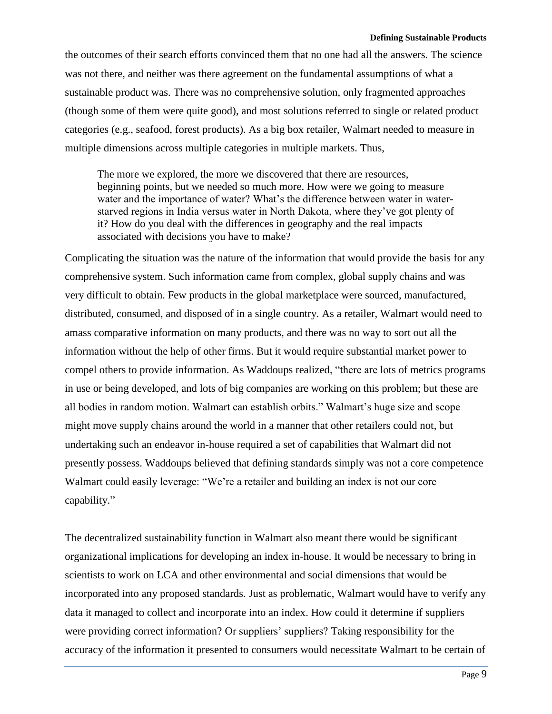the outcomes of their search efforts convinced them that no one had all the answers. The science was not there, and neither was there agreement on the fundamental assumptions of what a sustainable product was. There was no comprehensive solution, only fragmented approaches (though some of them were quite good), and most solutions referred to single or related product categories (e.g., seafood, forest products). As a big box retailer, Walmart needed to measure in multiple dimensions across multiple categories in multiple markets. Thus,

The more we explored, the more we discovered that there are resources, beginning points, but we needed so much more. How were we going to measure water and the importance of water? What's the difference between water in waterstarved regions in India versus water in North Dakota, where they've got plenty of it? How do you deal with the differences in geography and the real impacts associated with decisions you have to make?

Complicating the situation was the nature of the information that would provide the basis for any comprehensive system. Such information came from complex, global supply chains and was very difficult to obtain. Few products in the global marketplace were sourced, manufactured, distributed, consumed, and disposed of in a single country. As a retailer, Walmart would need to amass comparative information on many products, and there was no way to sort out all the information without the help of other firms. But it would require substantial market power to compel others to provide information. As Waddoups realized, "there are lots of metrics programs in use or being developed, and lots of big companies are working on this problem; but these are all bodies in random motion. Walmart can establish orbits." Walmart's huge size and scope might move supply chains around the world in a manner that other retailers could not, but undertaking such an endeavor in-house required a set of capabilities that Walmart did not presently possess. Waddoups believed that defining standards simply was not a core competence Walmart could easily leverage: "We're a retailer and building an index is not our core capability."

The decentralized sustainability function in Walmart also meant there would be significant organizational implications for developing an index in-house. It would be necessary to bring in scientists to work on LCA and other environmental and social dimensions that would be incorporated into any proposed standards. Just as problematic, Walmart would have to verify any data it managed to collect and incorporate into an index. How could it determine if suppliers were providing correct information? Or suppliers' suppliers? Taking responsibility for the accuracy of the information it presented to consumers would necessitate Walmart to be certain of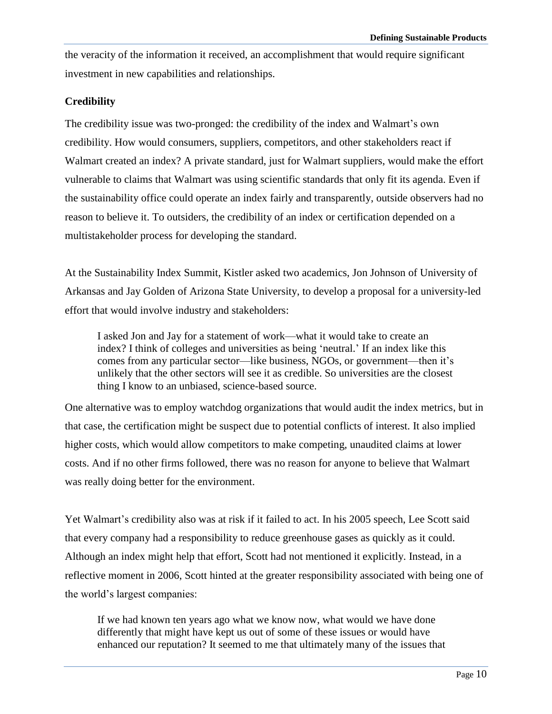the veracity of the information it received, an accomplishment that would require significant investment in new capabilities and relationships.

### **Credibility**

The credibility issue was two-pronged: the credibility of the index and Walmart's own credibility. How would consumers, suppliers, competitors, and other stakeholders react if Walmart created an index? A private standard, just for Walmart suppliers, would make the effort vulnerable to claims that Walmart was using scientific standards that only fit its agenda. Even if the sustainability office could operate an index fairly and transparently, outside observers had no reason to believe it. To outsiders, the credibility of an index or certification depended on a multistakeholder process for developing the standard.

At the Sustainability Index Summit, Kistler asked two academics, Jon Johnson of University of Arkansas and Jay Golden of Arizona State University, to develop a proposal for a university-led effort that would involve industry and stakeholders:

I asked Jon and Jay for a statement of work—what it would take to create an index? I think of colleges and universities as being 'neutral.' If an index like this comes from any particular sector—like business, NGOs, or government—then it's unlikely that the other sectors will see it as credible. So universities are the closest thing I know to an unbiased, science-based source.

One alternative was to employ watchdog organizations that would audit the index metrics, but in that case, the certification might be suspect due to potential conflicts of interest. It also implied higher costs, which would allow competitors to make competing, unaudited claims at lower costs. And if no other firms followed, there was no reason for anyone to believe that Walmart was really doing better for the environment.

Yet Walmart's credibility also was at risk if it failed to act. In his 2005 speech, Lee Scott said that every company had a responsibility to reduce greenhouse gases as quickly as it could. Although an index might help that effort, Scott had not mentioned it explicitly. Instead, in a reflective moment in 2006, Scott hinted at the greater responsibility associated with being one of the world's largest companies:

If we had known ten years ago what we know now, what would we have done differently that might have kept us out of some of these issues or would have enhanced our reputation? It seemed to me that ultimately many of the issues that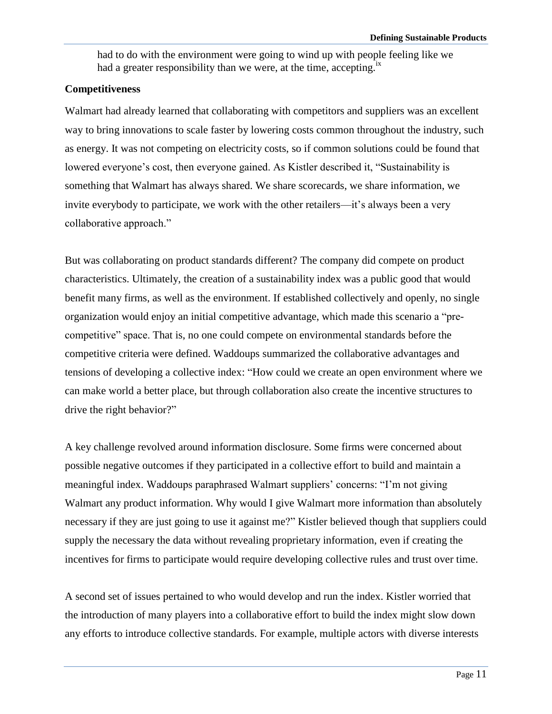had to do with the environment were going to wind up with people feeling like we had a greater responsibility than we were, at the time, accepting.<sup>ix</sup>

### **Competitiveness**

Walmart had already learned that collaborating with competitors and suppliers was an excellent way to bring innovations to scale faster by lowering costs common throughout the industry, such as energy. It was not competing on electricity costs, so if common solutions could be found that lowered everyone's cost, then everyone gained. As Kistler described it, "Sustainability is something that Walmart has always shared. We share scorecards, we share information, we invite everybody to participate, we work with the other retailers—it's always been a very collaborative approach."

But was collaborating on product standards different? The company did compete on product characteristics. Ultimately, the creation of a sustainability index was a public good that would benefit many firms, as well as the environment. If established collectively and openly, no single organization would enjoy an initial competitive advantage, which made this scenario a "precompetitive" space. That is, no one could compete on environmental standards before the competitive criteria were defined. Waddoups summarized the collaborative advantages and tensions of developing a collective index: "How could we create an open environment where we can make world a better place, but through collaboration also create the incentive structures to drive the right behavior?"

A key challenge revolved around information disclosure. Some firms were concerned about possible negative outcomes if they participated in a collective effort to build and maintain a meaningful index. Waddoups paraphrased Walmart suppliers' concerns: "I'm not giving Walmart any product information. Why would I give Walmart more information than absolutely necessary if they are just going to use it against me?" Kistler believed though that suppliers could supply the necessary the data without revealing proprietary information, even if creating the incentives for firms to participate would require developing collective rules and trust over time.

A second set of issues pertained to who would develop and run the index. Kistler worried that the introduction of many players into a collaborative effort to build the index might slow down any efforts to introduce collective standards. For example, multiple actors with diverse interests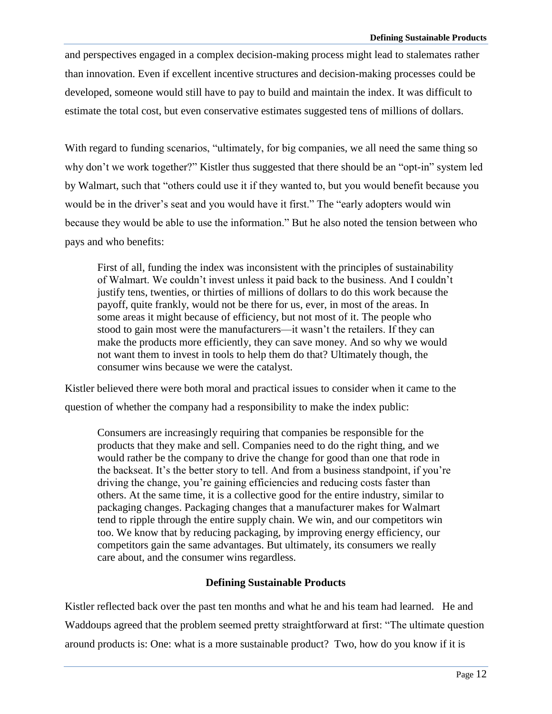and perspectives engaged in a complex decision-making process might lead to stalemates rather than innovation. Even if excellent incentive structures and decision-making processes could be developed, someone would still have to pay to build and maintain the index. It was difficult to estimate the total cost, but even conservative estimates suggested tens of millions of dollars.

With regard to funding scenarios, "ultimately, for big companies, we all need the same thing so why don't we work together?" Kistler thus suggested that there should be an "opt-in" system led by Walmart, such that "others could use it if they wanted to, but you would benefit because you would be in the driver's seat and you would have it first." The "early adopters would win because they would be able to use the information." But he also noted the tension between who pays and who benefits:

First of all, funding the index was inconsistent with the principles of sustainability of Walmart. We couldn't invest unless it paid back to the business. And I couldn't justify tens, twenties, or thirties of millions of dollars to do this work because the payoff, quite frankly, would not be there for us, ever, in most of the areas. In some areas it might because of efficiency, but not most of it. The people who stood to gain most were the manufacturers—it wasn't the retailers. If they can make the products more efficiently, they can save money. And so why we would not want them to invest in tools to help them do that? Ultimately though, the consumer wins because we were the catalyst.

Kistler believed there were both moral and practical issues to consider when it came to the question of whether the company had a responsibility to make the index public:

Consumers are increasingly requiring that companies be responsible for the products that they make and sell. Companies need to do the right thing, and we would rather be the company to drive the change for good than one that rode in the backseat. It's the better story to tell. And from a business standpoint, if you're driving the change, you're gaining efficiencies and reducing costs faster than others. At the same time, it is a collective good for the entire industry, similar to packaging changes. Packaging changes that a manufacturer makes for Walmart tend to ripple through the entire supply chain. We win, and our competitors win too. We know that by reducing packaging, by improving energy efficiency, our competitors gain the same advantages. But ultimately, its consumers we really care about, and the consumer wins regardless.

### **Defining Sustainable Products**

Kistler reflected back over the past ten months and what he and his team had learned. He and Waddoups agreed that the problem seemed pretty straightforward at first: "The ultimate question around products is: One: what is a more sustainable product? Two, how do you know if it is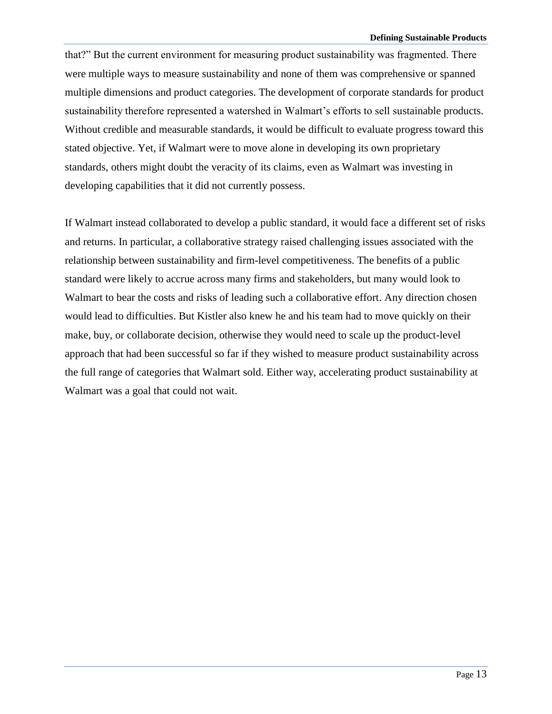that?" But the current environment for measuring product sustainability was fragmented. There were multiple ways to measure sustainability and none of them was comprehensive or spanned multiple dimensions and product categories. The development of corporate standards for product sustainability therefore represented a watershed in Walmart's efforts to sell sustainable products. Without credible and measurable standards, it would be difficult to evaluate progress toward this stated objective. Yet, if Walmart were to move alone in developing its own proprietary standards, others might doubt the veracity of its claims, even as Walmart was investing in developing capabilities that it did not currently possess.

If Walmart instead collaborated to develop a public standard, it would face a different set of risks and returns. In particular, a collaborative strategy raised challenging issues associated with the relationship between sustainability and firm-level competitiveness. The benefits of a public standard were likely to accrue across many firms and stakeholders, but many would look to Walmart to bear the costs and risks of leading such a collaborative effort. Any direction chosen would lead to difficulties. But Kistler also knew he and his team had to move quickly on their make, buy, or collaborate decision, otherwise they would need to scale up the product-level approach that had been successful so far if they wished to measure product sustainability across the full range of categories that Walmart sold. Either way, accelerating product sustainability at Walmart was a goal that could not wait.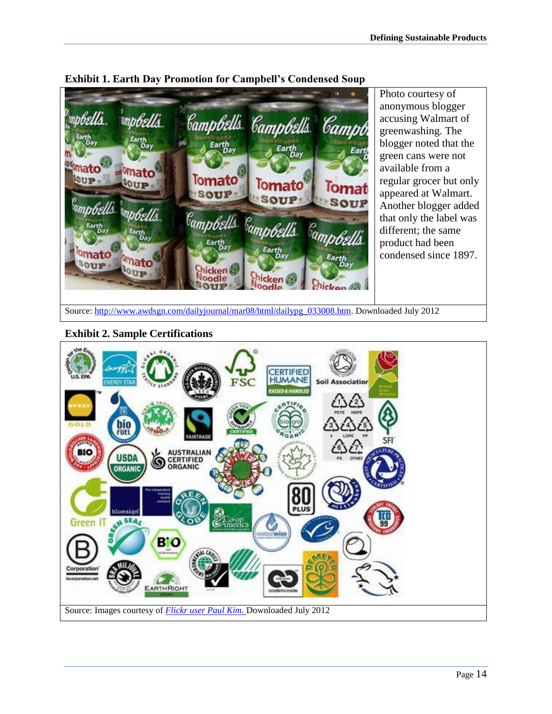

**Exhibit 1. Earth Day Promotion for Campbell's Condensed Soup**

**Exhibit 2. Sample Certifications**

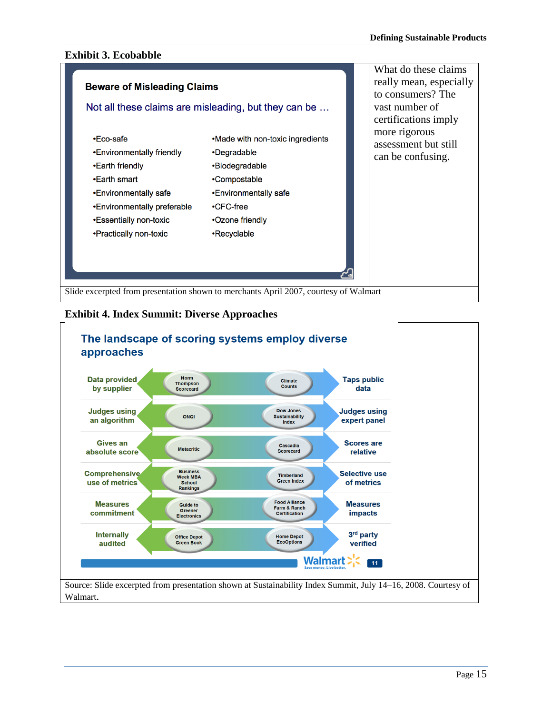## **Exhibit 3. Ecobabble**



### **Exhibit 4. Index Summit: Diverse Approaches**

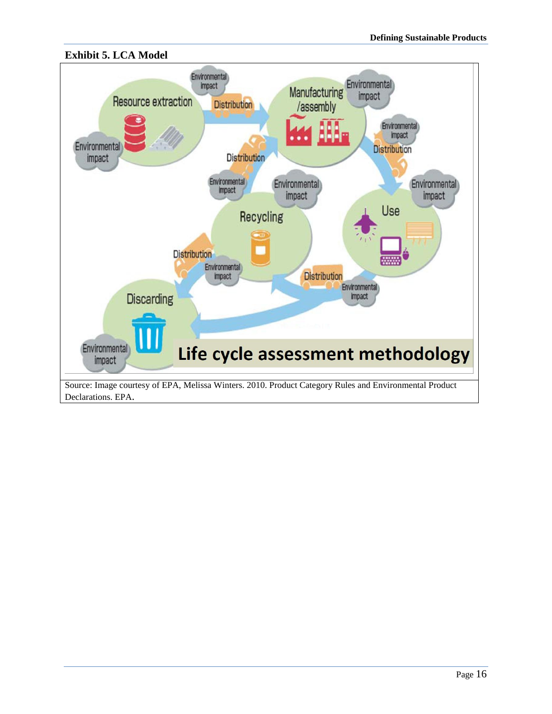